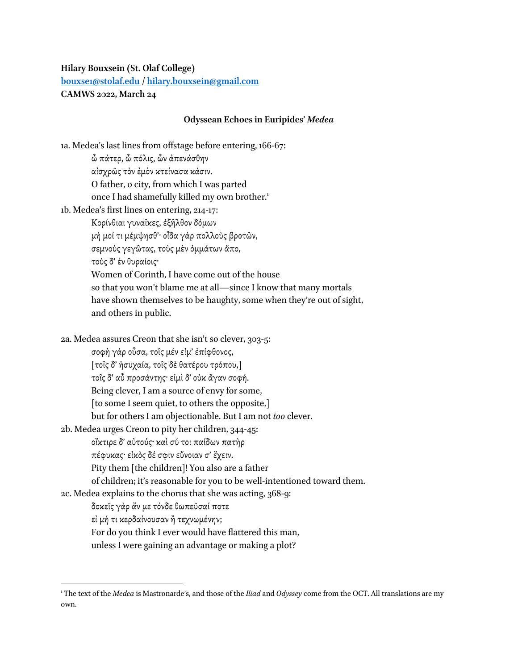## **Hilary Bouxsein (St. Olaf College) [bouxse1@stolaf.edu](mailto:bouxse1@stolaf.edu) / [hilary.bouxsein@gmail.com](mailto:hilary.bouxsein@gmail.com) CAMWS 2022, March 24**

## **Odyssean Echoes in Euripides'** *Medea*

1a. Medea's last lines from offstage before entering, 166-67: ὦ πάτερ, ὦ πόλις, ὧν ἀπενάσθην αἰσχρῶς τὸν ἐμὸν κτείνασα κάσιν. O father, o city, from which I was parted once I had shamefully killed my own brother.<sup>1</sup> 1b. Medea's first lines on entering, 214-17: Κορίνθιαι γυναῖκες, ἐξῆλθον δόμων μή μοί τι μέμψησθ'· οἶδα γὰρ πολλοὺς βροτῶν, σεμνοὺς γεγῶτας, τοὺς μὲν ὀμμάτων ἄπο, τοὺς δ' ἐν θυραίοις· Women of Corinth, I have come out of the house so that you won't blame me at all—since I know that many mortals have shown themselves to be haughty, some when they're out of sight, and others in public. 2a. Medea assures Creon that she isn't so clever, 303-5: σοφὴ γὰρ οὖσα, τοῖς μέν εἰμ' ἐπίφθονος, [τοῖς δ' ἡσυχαία, τοῖς δὲθατέρου τρόπου,] τοῖς δ' αὖ προσάντης· εἰμὶ δ'οὐκ ἄγαν σοφή. Being clever, I am a source of envy for some, [to some I seem quiet, to others the opposite,] but for others I am objectionable. But I am not *too* clever. 2b. Medea urges Creon to pity her children, 344-45: οἴκτιρε δ' αὐτούς· καὶ σύ τοι παίδων πατὴρ πέφυκας· εἰκὸς δέ σφιν εὔνοιαν σ' ἔχειν. Pity them [the children]! You also are a father of children; it's reasonable for you to be well-intentioned toward them. 2c. Medea explains to the chorus that she was acting, 368-9: δοκεῖς γὰρ ἄν με τόνδε θωπεῦσαί ποτε εἰ μή τι κερδαίνουσαν ἢ τεχνωμένην; For do you think I ever would have flattered this man, unless I were gaining an advantage or making a plot?

 $\overline{\phantom{a}}$ 

<sup>1</sup> The text of the *Medea* is Mastronarde's, and those of the *Iliad* and *Odyssey* come from the OCT. All translations are my own.